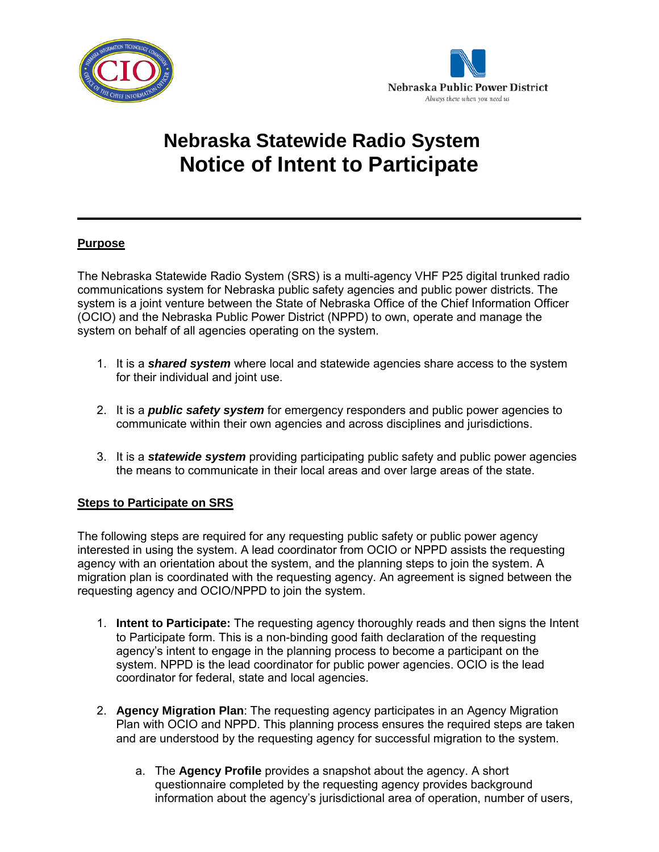



## **Nebraska Statewide Radio System Notice of Intent to Participate**

## **Purpose**

The Nebraska Statewide Radio System (SRS) is a multi-agency VHF P25 digital trunked radio communications system for Nebraska public safety agencies and public power districts. The system is a joint venture between the State of Nebraska Office of the Chief Information Officer (OCIO) and the Nebraska Public Power District (NPPD) to own, operate and manage the system on behalf of all agencies operating on the system.

- 1. It is a *shared system* where local and statewide agencies share access to the system for their individual and joint use.
- 2. It is a *public safety system* for emergency responders and public power agencies to communicate within their own agencies and across disciplines and jurisdictions.
- 3. It is a *statewide system* providing participating public safety and public power agencies the means to communicate in their local areas and over large areas of the state.

## **Steps to Participate on SRS**

The following steps are required for any requesting public safety or public power agency interested in using the system. A lead coordinator from OCIO or NPPD assists the requesting agency with an orientation about the system, and the planning steps to join the system. A migration plan is coordinated with the requesting agency. An agreement is signed between the requesting agency and OCIO/NPPD to join the system.

- 1. **Intent to Participate:** The requesting agency thoroughly reads and then signs the Intent to Participate form. This is a non-binding good faith declaration of the requesting agency's intent to engage in the planning process to become a participant on the system. NPPD is the lead coordinator for public power agencies. OCIO is the lead coordinator for federal, state and local agencies.
- 2. **Agency Migration Plan**: The requesting agency participates in an Agency Migration Plan with OCIO and NPPD. This planning process ensures the required steps are taken and are understood by the requesting agency for successful migration to the system.
	- a. The **Agency Profile** provides a snapshot about the agency. A short questionnaire completed by the requesting agency provides background information about the agency's jurisdictional area of operation, number of users,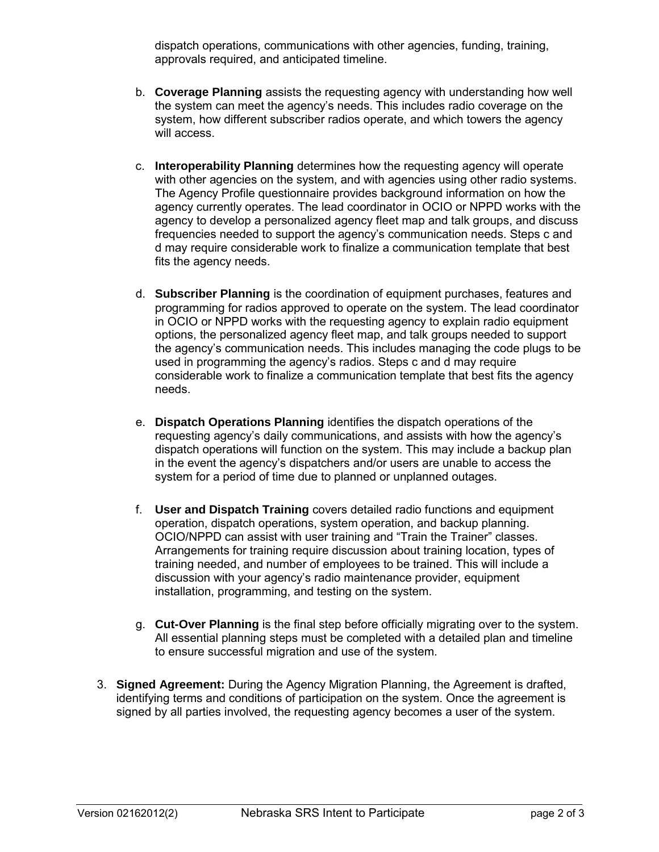dispatch operations, communications with other agencies, funding, training, approvals required, and anticipated timeline.

- b. **Coverage Planning** assists the requesting agency with understanding how well the system can meet the agency's needs. This includes radio coverage on the system, how different subscriber radios operate, and which towers the agency will access.
- c. **Interoperability Planning** determines how the requesting agency will operate with other agencies on the system, and with agencies using other radio systems. The Agency Profile questionnaire provides background information on how the agency currently operates. The lead coordinator in OCIO or NPPD works with the agency to develop a personalized agency fleet map and talk groups, and discuss frequencies needed to support the agency's communication needs. Steps c and d may require considerable work to finalize a communication template that best fits the agency needs.
- d. **Subscriber Planning** is the coordination of equipment purchases, features and programming for radios approved to operate on the system. The lead coordinator in OCIO or NPPD works with the requesting agency to explain radio equipment options, the personalized agency fleet map, and talk groups needed to support the agency's communication needs. This includes managing the code plugs to be used in programming the agency's radios. Steps c and d may require considerable work to finalize a communication template that best fits the agency needs.
- e. **Dispatch Operations Planning** identifies the dispatch operations of the requesting agency's daily communications, and assists with how the agency's dispatch operations will function on the system. This may include a backup plan in the event the agency's dispatchers and/or users are unable to access the system for a period of time due to planned or unplanned outages.
- f. **User and Dispatch Training** covers detailed radio functions and equipment operation, dispatch operations, system operation, and backup planning. OCIO/NPPD can assist with user training and "Train the Trainer" classes. Arrangements for training require discussion about training location, types of training needed, and number of employees to be trained. This will include a discussion with your agency's radio maintenance provider, equipment installation, programming, and testing on the system.
- g. **Cut-Over Planning** is the final step before officially migrating over to the system. All essential planning steps must be completed with a detailed plan and timeline to ensure successful migration and use of the system.
- 3. **Signed Agreement:** During the Agency Migration Planning, the Agreement is drafted, identifying terms and conditions of participation on the system. Once the agreement is signed by all parties involved, the requesting agency becomes a user of the system.